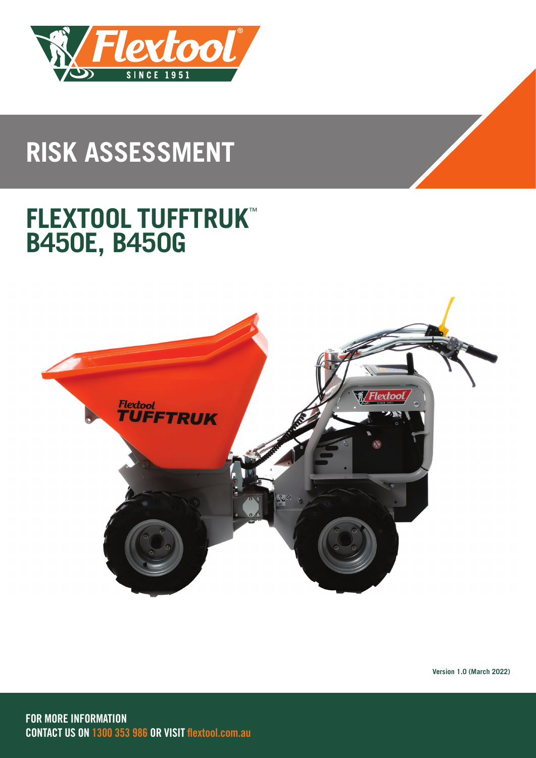

# **RISK ASSESSMENT**

## **FLEXTOOL TUFFTRUK**™ **B450E, B450G**

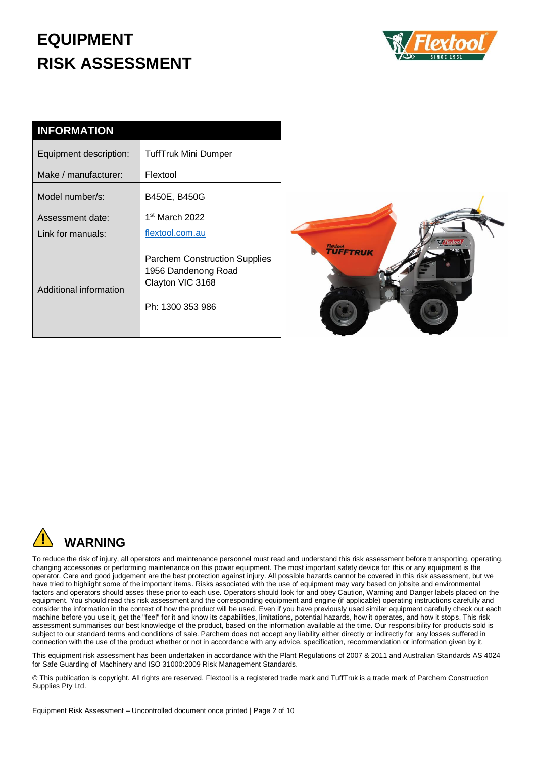### **EQUIPMENT RISK ASSESSMENT**



| <b>INFORMATION</b>     |                                                                                                     |
|------------------------|-----------------------------------------------------------------------------------------------------|
| Equipment description: | TuffTruk Mini Dumper                                                                                |
| Make / manufacturer:   | Flextool                                                                                            |
| Model number/s:        | B450E, B450G                                                                                        |
| Assessment date:       | 1 <sup>st</sup> March 2022                                                                          |
| Link for manuals:      | flextool.com.au                                                                                     |
| Additional information | <b>Parchem Construction Supplies</b><br>1956 Dandenong Road<br>Clayton VIC 3168<br>Ph: 1300 353 986 |





To reduce the risk of injury, all operators and maintenance personnel must read and understand this risk assessment before transporting, operating, changing accessories or performing maintenance on this power equipment. The most important safety device for this or any equipment is the operator. Care and good judgement are the best protection against injury. All possible hazards cannot be covered in this risk assessment, but we have tried to highlight some of the important items. Risks associated with the use of equipment may vary based on jobsite and environmental factors and operators should asses these prior to each use. Operators should look for and obey Caution, Warning and Danger labels placed on the equipment. You should read this risk assessment and the corresponding equipment and engine (if applicable) operating instructions carefully and consider the information in the context of how the product will be used. Even if you have previously used similar equipment carefully check out each machine before you use it, get the "feel" for it and know its capabilities, limitations, potential hazards, how it operates, and how it stops. This risk assessment summarises our best knowledge of the product, based on the information available at the time. Our responsibility for products sold is subject to our standard terms and conditions of sale. Parchem does not accept any liability either directly or indirectly for any losses suffered in connection with the use of the product whether or not in accordance with any advice, specification, recommendation or information given by it.

This equipment risk assessment has been undertaken in accordance with the Plant Regulations of 2007 & 2011 and Australian Standards AS 4024 for Safe Guarding of Machinery and ISO 31000:2009 Risk Management Standards.

© This publication is copyright. All rights are reserved. Flextool is a registered trade mark and TuffTruk is a trade mark of Parchem Construction Supplies Pty Ltd.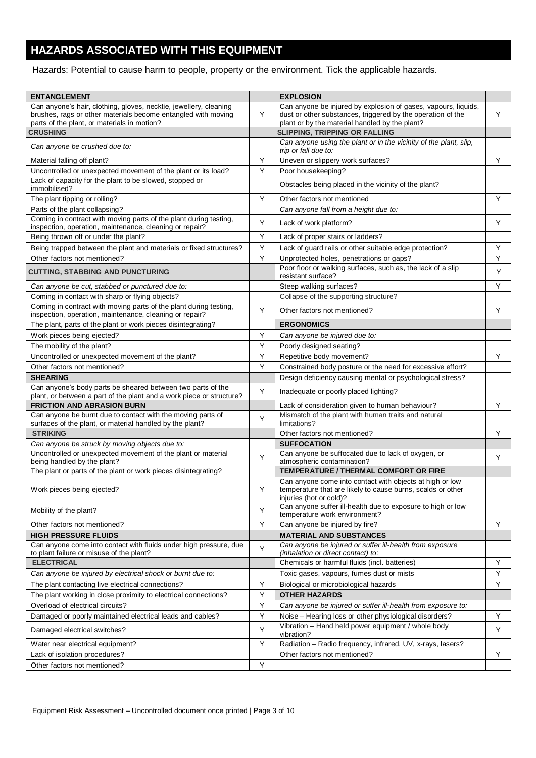#### **HAZARDS ASSOCIATED WITH THIS EQUIPMENT**

Hazards: Potential to cause harm to people, property or the environment. Tick the applicable hazards.

| <b>ENTANGLEMENT</b>                                                                                                          |         | <b>EXPLOSION</b>                                                                                                                                   |   |
|------------------------------------------------------------------------------------------------------------------------------|---------|----------------------------------------------------------------------------------------------------------------------------------------------------|---|
| Can anyone's hair, clothing, gloves, necktie, jewellery, cleaning                                                            |         | Can anyone be injured by explosion of gases, vapours, liquids,                                                                                     |   |
| brushes, rags or other materials become entangled with moving                                                                | Y       | dust or other substances, triggered by the operation of the                                                                                        | Y |
| parts of the plant, or materials in motion?                                                                                  |         | plant or by the material handled by the plant?                                                                                                     |   |
| <b>CRUSHING</b>                                                                                                              |         | <b>SLIPPING, TRIPPING OR FALLING</b>                                                                                                               |   |
| Can anyone be crushed due to:                                                                                                |         | Can anyone using the plant or in the vicinity of the plant, slip,<br>trip or fall due to:                                                          |   |
| Material falling off plant?                                                                                                  | Y       | Uneven or slippery work surfaces?                                                                                                                  | Υ |
| Uncontrolled or unexpected movement of the plant or its load?                                                                | Y       | Poor housekeeping?                                                                                                                                 |   |
| Lack of capacity for the plant to be slowed, stopped or<br>immobilised?                                                      |         | Obstacles being placed in the vicinity of the plant?                                                                                               |   |
| The plant tipping or rolling?                                                                                                | Y       | Other factors not mentioned                                                                                                                        | Y |
| Parts of the plant collapsing?                                                                                               |         | Can anyone fall from a height due to:                                                                                                              |   |
| Coming in contract with moving parts of the plant during testing,<br>inspection, operation, maintenance, cleaning or repair? | Y       | Lack of work platform?                                                                                                                             | Y |
| Being thrown off or under the plant?                                                                                         | Y       | Lack of proper stairs or ladders?                                                                                                                  |   |
| Being trapped between the plant and materials or fixed structures?                                                           | Y       | Lack of guard rails or other suitable edge protection?                                                                                             | Υ |
| Other factors not mentioned?                                                                                                 | Y       | Unprotected holes, penetrations or gaps?                                                                                                           | Υ |
| <b>CUTTING, STABBING AND PUNCTURING</b>                                                                                      |         | Poor floor or walking surfaces, such as, the lack of a slip<br>resistant surface?                                                                  | Y |
| Can anyone be cut, stabbed or punctured due to:                                                                              |         | Steep walking surfaces?                                                                                                                            | Υ |
| Coming in contact with sharp or flying objects?                                                                              |         | Collapse of the supporting structure?                                                                                                              |   |
| Coming in contract with moving parts of the plant during testing,                                                            | Y       | Other factors not mentioned?                                                                                                                       | Y |
| inspection, operation, maintenance, cleaning or repair?<br>The plant, parts of the plant or work pieces disintegrating?      |         | <b>ERGONOMICS</b>                                                                                                                                  |   |
| Work pieces being ejected?                                                                                                   | Y       | Can anyone be injured due to:                                                                                                                      |   |
| The mobility of the plant?                                                                                                   | Y       |                                                                                                                                                    |   |
|                                                                                                                              |         | Poorly designed seating?                                                                                                                           |   |
| Uncontrolled or unexpected movement of the plant?                                                                            | Y       | Repetitive body movement?                                                                                                                          | Y |
| Other factors not mentioned?                                                                                                 | Υ       | Constrained body posture or the need for excessive effort?                                                                                         |   |
| <b>SHEARING</b><br>Can anyone's body parts be sheared between two parts of the                                               |         | Design deficiency causing mental or psychological stress?                                                                                          |   |
| plant, or between a part of the plant and a work piece or structure?                                                         | Y       | Inadequate or poorly placed lighting?                                                                                                              |   |
| <b>FRICTION AND ABRASION BURN</b>                                                                                            |         | Lack of consideration given to human behaviour?                                                                                                    | Y |
| Can anyone be burnt due to contact with the moving parts of<br>surfaces of the plant, or material handled by the plant?      | Y       | Mismatch of the plant with human traits and natural<br>limitations?                                                                                |   |
| <b>STRIKING</b>                                                                                                              |         | Other factors not mentioned?                                                                                                                       | Y |
| Can anyone be struck by moving objects due to:                                                                               |         | <b>SUFFOCATION</b>                                                                                                                                 |   |
| Uncontrolled or unexpected movement of the plant or material<br>being handled by the plant?                                  | Y       | Can anyone be suffocated due to lack of oxygen, or<br>atmospheric contamination?                                                                   | Y |
| The plant or parts of the plant or work pieces disintegrating?                                                               |         | TEMPERATURE / THERMAL COMFORT OR FIRE                                                                                                              |   |
| Work pieces being ejected?                                                                                                   | Y       | Can anyone come into contact with objects at high or low<br>temperature that are likely to cause burns, scalds or other<br>injuries (hot or cold)? |   |
| Mobility of the plant?                                                                                                       | Y       | Can anyone suffer ill-health due to exposure to high or low<br>temperature work environment?                                                       |   |
| Other factors not mentioned?                                                                                                 | Y       | Can anyone be injured by fire?                                                                                                                     | Y |
| <b>HIGH PRESSURE FLUIDS</b>                                                                                                  |         | <b>MATERIAL AND SUBSTANCES</b>                                                                                                                     |   |
| Can anyone come into contact with fluids under high pressure, due                                                            | Υ       | Can anyone be injured or suffer ill-health from exposure                                                                                           |   |
| to plant failure or misuse of the plant?                                                                                     |         | (inhalation or direct contact) to:                                                                                                                 |   |
| <b>ELECTRICAL</b>                                                                                                            |         | Chemicals or harmful fluids (incl. batteries)                                                                                                      | Υ |
| Can anyone be injured by electrical shock or burnt due to:                                                                   |         | Toxic gases, vapours, fumes dust or mists                                                                                                          | Υ |
| The plant contacting live electrical connections?                                                                            | Υ       | Biological or microbiological hazards                                                                                                              | Y |
| The plant working in close proximity to electrical connections?                                                              | Υ       | <b>OTHER HAZARDS</b>                                                                                                                               |   |
| Overload of electrical circuits?                                                                                             | Y       | Can anyone be injured or suffer ill-health from exposure to:                                                                                       |   |
| Damaged or poorly maintained electrical leads and cables?                                                                    | Y       | Noise - Hearing loss or other physiological disorders?                                                                                             | Υ |
| Damaged electrical switches?                                                                                                 | Υ       | Vibration - Hand held power equipment / whole body<br>vibration?                                                                                   | Υ |
| Water near electrical equipment?                                                                                             | Y       | Radiation - Radio frequency, infrared, UV, x-rays, lasers?                                                                                         |   |
| Lack of isolation procedures?                                                                                                |         | Other factors not mentioned?                                                                                                                       | Υ |
| Other factors not mentioned?                                                                                                 | $\sf Y$ |                                                                                                                                                    |   |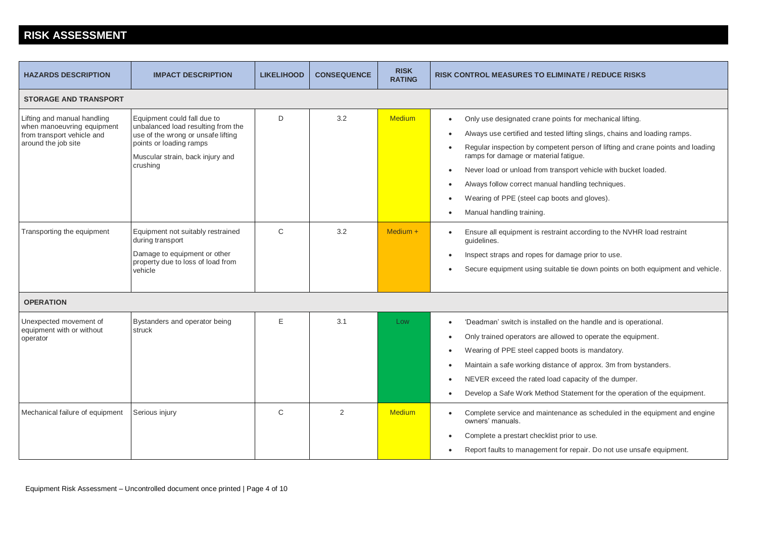#### **RISK ASSESSMENT**

| <b>HAZARDS DESCRIPTION</b>                                                                                     | <b>IMPACT DESCRIPTION</b>                                                                                                                                                          | <b>LIKELIHOOD</b> | <b>CONSEQUENCE</b> | <b>RISK</b><br><b>RATING</b> | <b>RISK CONTROL MEASURES TO ELIMINATE / REDUCE RISKS</b>                                                                                                                                                                                                                                                                                                                                                                                                                                                                                                         |  |  |  |  |  |  |
|----------------------------------------------------------------------------------------------------------------|------------------------------------------------------------------------------------------------------------------------------------------------------------------------------------|-------------------|--------------------|------------------------------|------------------------------------------------------------------------------------------------------------------------------------------------------------------------------------------------------------------------------------------------------------------------------------------------------------------------------------------------------------------------------------------------------------------------------------------------------------------------------------------------------------------------------------------------------------------|--|--|--|--|--|--|
| <b>STORAGE AND TRANSPORT</b>                                                                                   |                                                                                                                                                                                    |                   |                    |                              |                                                                                                                                                                                                                                                                                                                                                                                                                                                                                                                                                                  |  |  |  |  |  |  |
| Lifting and manual handling<br>when manoeuvring equipment<br>from transport vehicle and<br>around the job site | Equipment could fall due to<br>unbalanced load resulting from the<br>use of the wrong or unsafe lifting<br>points or loading ramps<br>Muscular strain, back injury and<br>crushing | D                 | 3.2                | <b>Medium</b>                | Only use designated crane points for mechanical lifting.<br>$\bullet$<br>Always use certified and tested lifting slings, chains and loading ramps.<br>$\bullet$<br>Regular inspection by competent person of lifting and crane points and loading<br>$\bullet$<br>ramps for damage or material fatigue.<br>Never load or unload from transport vehicle with bucket loaded.<br>$\bullet$<br>Always follow correct manual handling techniques.<br>$\bullet$<br>Wearing of PPE (steel cap boots and gloves).<br>$\bullet$<br>Manual handling training.<br>$\bullet$ |  |  |  |  |  |  |
| Transporting the equipment                                                                                     | Equipment not suitably restrained<br>during transport<br>Damage to equipment or other<br>property due to loss of load from<br>vehicle                                              | $\mathsf{C}$      | 3.2                | $Median +$                   | Ensure all equipment is restraint according to the NVHR load restraint<br>$\bullet$<br>guidelines.<br>Inspect straps and ropes for damage prior to use.<br>$\bullet$<br>Secure equipment using suitable tie down points on both equipment and vehicle.<br>$\bullet$                                                                                                                                                                                                                                                                                              |  |  |  |  |  |  |
| <b>OPERATION</b>                                                                                               |                                                                                                                                                                                    |                   |                    |                              |                                                                                                                                                                                                                                                                                                                                                                                                                                                                                                                                                                  |  |  |  |  |  |  |
| Unexpected movement of<br>equipment with or without<br>operator                                                | Bystanders and operator being<br>struck                                                                                                                                            | E                 | 3.1                | Low                          | 'Deadman' switch is installed on the handle and is operational.<br>$\bullet$<br>Only trained operators are allowed to operate the equipment.<br>$\bullet$<br>Wearing of PPE steel capped boots is mandatory.<br>$\bullet$<br>Maintain a safe working distance of approx. 3m from bystanders.<br>$\bullet$<br>NEVER exceed the rated load capacity of the dumper.<br>$\bullet$<br>Develop a Safe Work Method Statement for the operation of the equipment.<br>$\bullet$                                                                                           |  |  |  |  |  |  |
| Mechanical failure of equipment                                                                                | Serious injury                                                                                                                                                                     | $\mathsf{C}$      | 2                  | <b>Medium</b>                | Complete service and maintenance as scheduled in the equipment and engine<br>$\bullet$<br>owners' manuals.<br>Complete a prestart checklist prior to use.<br>$\bullet$<br>Report faults to management for repair. Do not use unsafe equipment.<br>$\bullet$                                                                                                                                                                                                                                                                                                      |  |  |  |  |  |  |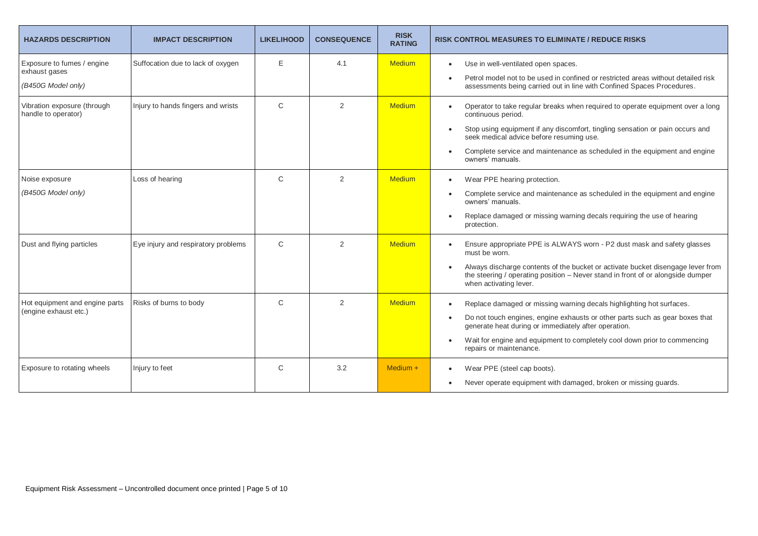| <b>HAZARDS DESCRIPTION</b>                              | <b>IMPACT DESCRIPTION</b>           | <b>LIKELIHOOD</b> | <b>CONSEQUENCE</b> | <b>RISK</b><br><b>RATING</b> | <b>RISK CONTROL MEASURES TO ELIMINATE / REDUCE RISKS</b>                                                                                                                                     |
|---------------------------------------------------------|-------------------------------------|-------------------|--------------------|------------------------------|----------------------------------------------------------------------------------------------------------------------------------------------------------------------------------------------|
| Exposure to fumes / engine<br>exhaust gases             | Suffocation due to lack of oxygen   | E                 | 4.1                | <b>Medium</b>                | Use in well-ventilated open spaces.<br>$\bullet$                                                                                                                                             |
| (B450G Model only)                                      |                                     |                   |                    |                              | Petrol model not to be used in confined or restricted areas without detailed risk<br>assessments being carried out in line with Confined Spaces Procedures.                                  |
| Vibration exposure (through<br>handle to operator)      | Injury to hands fingers and wrists  | $\mathsf{C}$      | 2                  | <b>Medium</b>                | Operator to take regular breaks when required to operate equipment over a long<br>continuous period.                                                                                         |
|                                                         |                                     |                   |                    |                              | Stop using equipment if any discomfort, tingling sensation or pain occurs and<br>$\bullet$<br>seek medical advice before resuming use.                                                       |
|                                                         |                                     |                   |                    |                              | Complete service and maintenance as scheduled in the equipment and engine<br>owners' manuals.                                                                                                |
| Noise exposure                                          | Loss of hearing                     | C                 | $\overline{2}$     | <b>Medium</b>                | Wear PPE hearing protection.<br>$\bullet$                                                                                                                                                    |
| (B450G Model only)                                      |                                     |                   |                    |                              | Complete service and maintenance as scheduled in the equipment and engine<br>owners' manuals.                                                                                                |
|                                                         |                                     |                   |                    |                              | Replace damaged or missing warning decals requiring the use of hearing<br>protection.                                                                                                        |
| Dust and flying particles                               | Eye injury and respiratory problems | $\mathsf{C}$      | 2                  | <b>Medium</b>                | Ensure appropriate PPE is ALWAYS worn - P2 dust mask and safety glasses<br>must be worn.                                                                                                     |
|                                                         |                                     |                   |                    |                              | Always discharge contents of the bucket or activate bucket disengage lever from<br>the steering / operating position - Never stand in front of or alongside dumper<br>when activating lever. |
| Hot equipment and engine parts<br>(engine exhaust etc.) | Risks of burns to body              | $\mathsf{C}$      | $\overline{2}$     | <b>Medium</b>                | Replace damaged or missing warning decals highlighting hot surfaces.<br>$\bullet$                                                                                                            |
|                                                         |                                     |                   |                    |                              | Do not touch engines, engine exhausts or other parts such as gear boxes that<br>$\bullet$<br>generate heat during or immediately after operation.                                            |
|                                                         |                                     |                   |                    |                              | Wait for engine and equipment to completely cool down prior to commencing<br>repairs or maintenance.                                                                                         |
| Exposure to rotating wheels                             | Injury to feet                      | C                 | 3.2                | Medium +                     | Wear PPE (steel cap boots).<br>$\bullet$                                                                                                                                                     |
|                                                         |                                     |                   |                    |                              | Never operate equipment with damaged, broken or missing guards.<br>$\bullet$                                                                                                                 |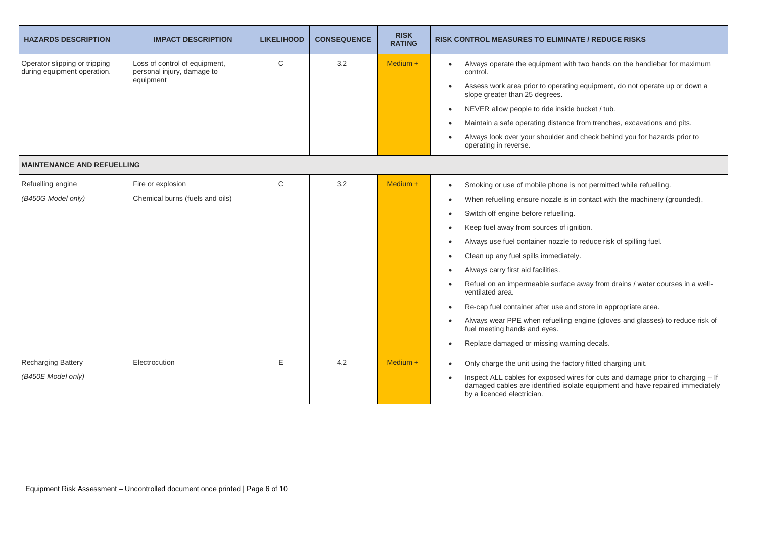| <b>HAZARDS DESCRIPTION</b>                                   | <b>IMPACT DESCRIPTION</b>                                                | <b>LIKELIHOOD</b> | <b>CONSEQUENCE</b> | <b>RISK</b><br><b>RATING</b> | <b>RISK CONTROL MEASURES TO ELIMINATE / REDUCE RISKS</b>                                                                                                                                                                                                                                                                                                                                                                                                                                                                                                                                                                                                                                                                                                                                                                                                       |  |  |
|--------------------------------------------------------------|--------------------------------------------------------------------------|-------------------|--------------------|------------------------------|----------------------------------------------------------------------------------------------------------------------------------------------------------------------------------------------------------------------------------------------------------------------------------------------------------------------------------------------------------------------------------------------------------------------------------------------------------------------------------------------------------------------------------------------------------------------------------------------------------------------------------------------------------------------------------------------------------------------------------------------------------------------------------------------------------------------------------------------------------------|--|--|
| Operator slipping or tripping<br>during equipment operation. | Loss of control of equipment,<br>personal injury, damage to<br>equipment | C                 | 3.2                | $Median +$                   | Always operate the equipment with two hands on the handlebar for maximum<br>control.<br>Assess work area prior to operating equipment, do not operate up or down a<br>$\bullet$<br>slope greater than 25 degrees.<br>NEVER allow people to ride inside bucket / tub.<br>$\bullet$<br>Maintain a safe operating distance from trenches, excavations and pits.<br>Always look over your shoulder and check behind you for hazards prior to<br>operating in reverse.                                                                                                                                                                                                                                                                                                                                                                                              |  |  |
| <b>MAINTENANCE AND REFUELLING</b>                            |                                                                          |                   |                    |                              |                                                                                                                                                                                                                                                                                                                                                                                                                                                                                                                                                                                                                                                                                                                                                                                                                                                                |  |  |
| Refuelling engine<br>(B450G Model only)                      | Fire or explosion<br>Chemical burns (fuels and oils)                     | $\mathsf{C}$      | 3.2                | $Median +$                   | Smoking or use of mobile phone is not permitted while refuelling.<br>$\bullet$<br>When refuelling ensure nozzle is in contact with the machinery (grounded).<br>$\bullet$<br>Switch off engine before refuelling.<br>$\bullet$<br>Keep fuel away from sources of ignition.<br>$\bullet$<br>Always use fuel container nozzle to reduce risk of spilling fuel.<br>$\bullet$<br>Clean up any fuel spills immediately.<br>$\bullet$<br>Always carry first aid facilities.<br>$\bullet$<br>Refuel on an impermeable surface away from drains / water courses in a well-<br>ventilated area.<br>Re-cap fuel container after use and store in appropriate area.<br>$\bullet$<br>Always wear PPE when refuelling engine (gloves and glasses) to reduce risk of<br>$\bullet$<br>fuel meeting hands and eyes.<br>Replace damaged or missing warning decals.<br>$\bullet$ |  |  |
| <b>Recharging Battery</b><br>(B450E Model only)              | Electrocution                                                            | E                 | 4.2                | $Median +$                   | Only charge the unit using the factory fitted charging unit.<br>$\bullet$<br>Inspect ALL cables for exposed wires for cuts and damage prior to charging – If<br>damaged cables are identified isolate equipment and have repaired immediately<br>by a licenced electrician.                                                                                                                                                                                                                                                                                                                                                                                                                                                                                                                                                                                    |  |  |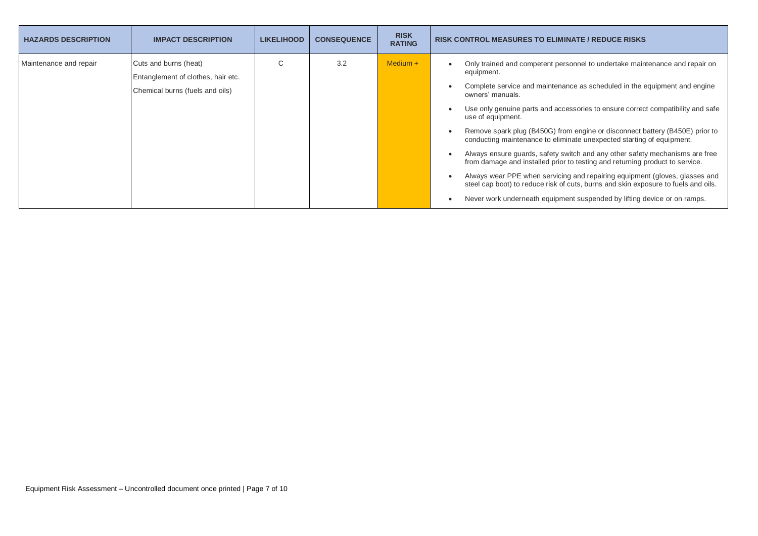| <b>HAZARDS DESCRIPTION</b> | <b>IMPACT DESCRIPTION</b>                                                                      | <b>LIKELIHOOD</b> | <b>CONSEQUENCE</b> | <b>RISK</b><br><b>RATING</b> | <b>RISK CONTROL MEASURES TO ELIMINATE / REDUCE RISKS</b>                                                                                                                                                                                                                                                                                                                                                                                                                                                                                                                                                                                                                                                                                                                                                                                                                     |
|----------------------------|------------------------------------------------------------------------------------------------|-------------------|--------------------|------------------------------|------------------------------------------------------------------------------------------------------------------------------------------------------------------------------------------------------------------------------------------------------------------------------------------------------------------------------------------------------------------------------------------------------------------------------------------------------------------------------------------------------------------------------------------------------------------------------------------------------------------------------------------------------------------------------------------------------------------------------------------------------------------------------------------------------------------------------------------------------------------------------|
| Maintenance and repair     | Cuts and burns (heat)<br>Entanglement of clothes, hair etc.<br>Chemical burns (fuels and oils) | ◡                 | 3.2                | Medium $+$                   | Only trained and competent personnel to undertake maintenance and repair on<br>equipment.<br>Complete service and maintenance as scheduled in the equipment and engine<br>owners' manuals.<br>Use only genuine parts and accessories to ensure correct compatibility and safe<br>use of equipment.<br>Remove spark plug (B450G) from engine or disconnect battery (B450E) prior to<br>conducting maintenance to eliminate unexpected starting of equipment.<br>Always ensure guards, safety switch and any other safety mechanisms are free<br>from damage and installed prior to testing and returning product to service.<br>Always wear PPE when servicing and repairing equipment (gloves, glasses and<br>steel cap boot) to reduce risk of cuts, burns and skin exposure to fuels and oils.<br>Never work underneath equipment suspended by lifting device or on ramps. |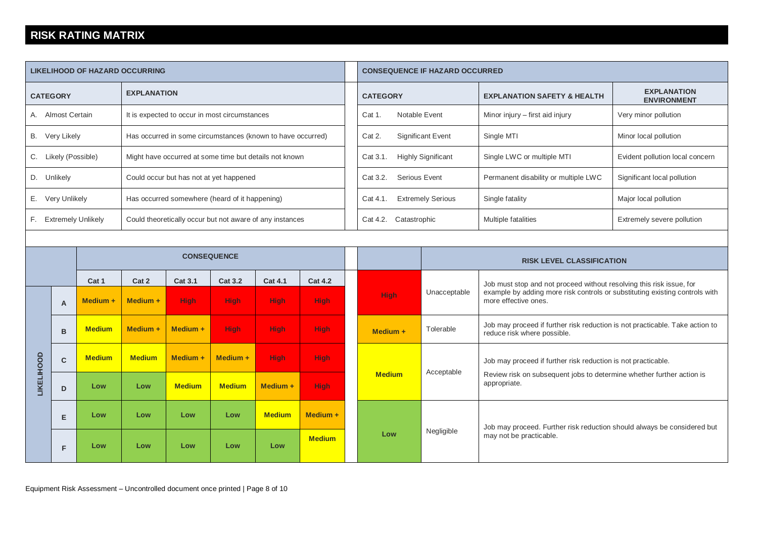#### **RISK RATING MATRIX**

| <b>LIKELIHOOD OF HAZARD OCCURRING</b>                                             |                                                                      |               |                |                                         |               |                                  |                                                                      | <b>CONSEQUENCE IF HAZARD OCCURRED</b> |                                  |                                        |                                                                                                                                                        |                             |
|-----------------------------------------------------------------------------------|----------------------------------------------------------------------|---------------|----------------|-----------------------------------------|---------------|----------------------------------|----------------------------------------------------------------------|---------------------------------------|----------------------------------|----------------------------------------|--------------------------------------------------------------------------------------------------------------------------------------------------------|-----------------------------|
| <b>EXPLANATION</b><br><b>CATEGORY</b>                                             |                                                                      |               |                |                                         |               |                                  |                                                                      | <b>CATEGORY</b>                       |                                  | <b>EXPLANATION SAFETY &amp; HEALTH</b> | <b>EXPLANATION</b><br><b>ENVIRONMENT</b>                                                                                                               |                             |
| A. Almost Certain<br>It is expected to occur in most circumstances                |                                                                      |               |                |                                         |               |                                  |                                                                      | Notable Event<br>Cat 1.               |                                  | Minor injury - first aid injury        | Very minor pollution                                                                                                                                   |                             |
| B. Very Likely<br>Has occurred in some circumstances (known to have occurred)     |                                                                      |               |                |                                         |               |                                  |                                                                      | Cat 2.<br><b>Significant Event</b>    |                                  | Single MTI                             | Minor local pollution                                                                                                                                  |                             |
| C. Likely (Possible)<br>Might have occurred at some time but details not known    |                                                                      |               |                |                                         |               |                                  |                                                                      | Cat 3.1.<br><b>Highly Significant</b> |                                  | Single LWC or multiple MTI             | Evident pollution local concern                                                                                                                        |                             |
|                                                                                   | D. Unlikely                                                          |               |                | Could occur but has not at yet happened |               |                                  |                                                                      |                                       | <b>Serious Event</b><br>Cat 3.2. |                                        | Permanent disability or multiple LWC                                                                                                                   | Significant local pollution |
| E. Very Unlikely<br>Has occurred somewhere (heard of it happening)                |                                                                      |               |                |                                         |               |                                  |                                                                      | Cat 4.1.                              | <b>Extremely Serious</b>         | Single fatality                        | Major local pollution                                                                                                                                  |                             |
| F. Extremely Unlikely<br>Could theoretically occur but not aware of any instances |                                                                      |               |                |                                         |               |                                  |                                                                      | Cat 4.2. Catastrophic                 |                                  | Multiple fatalities                    | Extremely severe pollution                                                                                                                             |                             |
|                                                                                   |                                                                      |               |                |                                         |               |                                  |                                                                      |                                       |                                  |                                        |                                                                                                                                                        |                             |
| <b>CONSEQUENCE</b>                                                                |                                                                      |               |                |                                         |               | <b>RISK LEVEL CLASSIFICATION</b> |                                                                      |                                       |                                  |                                        |                                                                                                                                                        |                             |
|                                                                                   | Cat 1<br>Cat 2<br><b>Cat 3.1</b><br><b>Cat 3.2</b><br><b>Cat 4.1</b> |               | <b>Cat 4.2</b> |                                         |               |                                  | Job must stop and not proceed without resolving this risk issue, for |                                       |                                  |                                        |                                                                                                                                                        |                             |
|                                                                                   | $\mathsf{A}$                                                         | Medium +      | Medium +       | <b>High</b>                             | <b>High</b>   | <b>High</b>                      | <b>High</b>                                                          |                                       | <b>High</b>                      | Unacceptable                           | example by adding more risk controls or substituting existing controls with<br>more effective ones.                                                    |                             |
|                                                                                   | B                                                                    | <b>Medium</b> | Medium +       | Medium +                                | <b>High</b>   | <b>High</b>                      | High-                                                                |                                       | $Median +$                       | Tolerable                              | Job may proceed if further risk reduction is not practicable. Take action to<br>reduce risk where possible.                                            |                             |
|                                                                                   | $\mathbf{C}$                                                         | <b>Medium</b> | <b>Medium</b>  | Medium +                                | Medium +      | <b>High</b>                      | <b>High</b>                                                          |                                       |                                  | Acceptable                             | Job may proceed if further risk reduction is not practicable.<br>Review risk on subsequent jobs to determine whether further action is<br>appropriate. |                             |
| <b>LIKELIHOOD</b>                                                                 | D                                                                    | Low           | Low            | <b>Medium</b>                           | <b>Medium</b> | Medium +                         | <b>High</b>                                                          |                                       | <b>Medium</b>                    |                                        |                                                                                                                                                        |                             |
|                                                                                   | E                                                                    | Low           | Low            | Low                                     | Low           | <b>Medium</b>                    | Medium +                                                             |                                       |                                  |                                        | Job may proceed. Further risk reduction should always be considered but                                                                                |                             |
|                                                                                   | F                                                                    | Low           | Low            | Low                                     | Low           | Low                              | <b>Medium</b>                                                        |                                       | Low                              | Negligible                             | may not be practicable.                                                                                                                                |                             |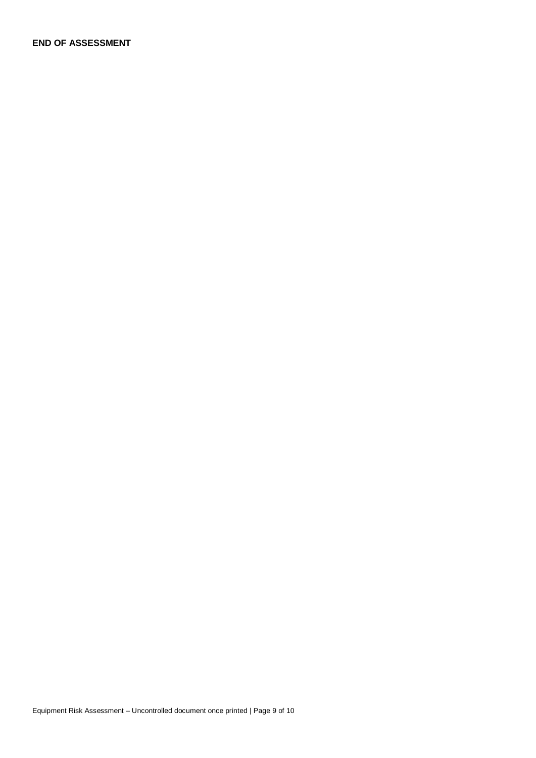**END OF ASSESSMENT**